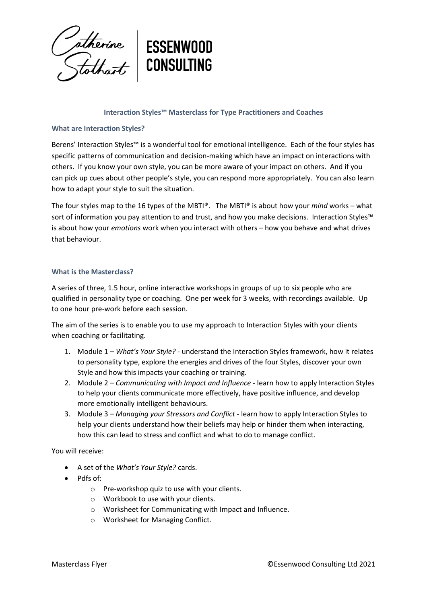

## **Interaction Styles™ Masterclass for Type Practitioners and Coaches**

### **What are Interaction Styles?**

Berens' Interaction Styles™ is a wonderful tool for emotional intelligence. Each of the four styles has specific patterns of communication and decision-making which have an impact on interactions with others. If you know your own style, you can be more aware of your impact on others. And if you can pick up cues about other people's style, you can respond more appropriately. You can also learn how to adapt your style to suit the situation.

The four styles map to the 16 types of the MBTI®. The MBTI® is about how your *mind* works – what sort of information you pay attention to and trust, and how you make decisions. Interaction Styles™ is about how your *emotions* work when you interact with others – how you behave and what drives that behaviour.

### **What is the Masterclass?**

A series of three, 1.5 hour, online interactive workshops in groups of up to six people who are qualified in personality type or coaching. One per week for 3 weeks, with recordings available. Up to one hour pre-work before each session.

The aim of the series is to enable you to use my approach to Interaction Styles with your clients when coaching or facilitating.

- 1. Module 1 *What's Your Style?* understand the Interaction Styles framework, how it relates to personality type, explore the energies and drives of the four Styles, discover your own Style and how this impacts your coaching or training.
- 2. Module 2 *Communicating with Impact and Influence* learn how to apply Interaction Styles to help your clients communicate more effectively, have positive influence, and develop more emotionally intelligent behaviours.
- 3. Module 3 *Managing your Stressors and Conflict* learn how to apply Interaction Styles to help your clients understand how their beliefs may help or hinder them when interacting, how this can lead to stress and conflict and what to do to manage conflict.

You will receive:

- A set of the *What's Your Style?* cards.
- Pdfs of:
	- o Pre-workshop quiz to use with your clients.
	- o Workbook to use with your clients.
	- o Worksheet for Communicating with Impact and Influence.
	- o Worksheet for Managing Conflict.